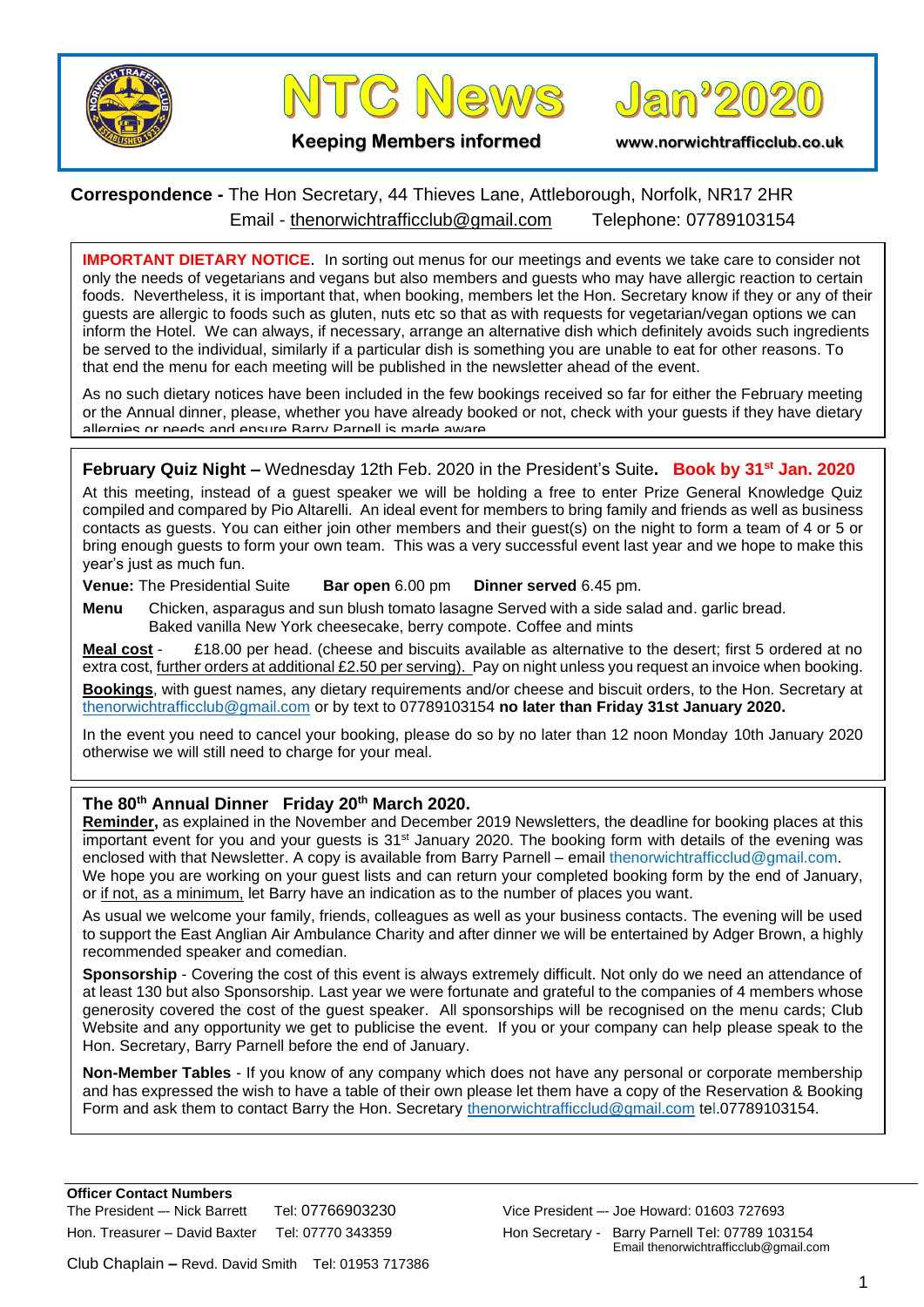



Jan<sup>,</sup>202

**Keeping Members informed www.norwichtrafficclub.co.uk**

## **Correspondence -** The Hon Secretary, 44 Thieves Lane, Attleborough, Norfolk, NR17 2HR Email - [thenorwichtrafficclub@gmail.com](mailto:thenorwichtrafficclub@gmail.com) Telephone: 07789103154

**IMPORTANT DIETARY NOTICE**. In sorting out menus for our meetings and events we take care to consider not only the needs of vegetarians and vegans but also members and guests who may have allergic reaction to certain foods. Nevertheless, it is important that, when booking, members let the Hon. Secretary know if they or any of their guests are allergic to foods such as gluten, nuts etc so that as with requests for vegetarian/vegan options we can inform the Hotel. We can always, if necessary, arrange an alternative dish which definitely avoids such ingredients be served to the individual, similarly if a particular dish is something you are unable to eat for other reasons. To that end the menu for each meeting will be published in the newsletter ahead of the event.

As no such dietary notices have been included in the few bookings received so far for either the February meeting or the Annual dinner, please, whether you have already booked or not, check with your guests if they have dietary allergies or needs and ensure Barry Parnell is made aware.

## **February Quiz Night –** Wednesday 12th Feb. 2020 in the President's Suite**. Book by 31st Jan. 2020**

At this meeting, instead of a guest speaker we will be holding a free to enter Prize General Knowledge Quiz compiled and compared by Pio Altarelli. An ideal event for members to bring family and friends as well as business contacts as guests. You can either join other members and their guest(s) on the night to form a team of 4 or 5 or bring enough guests to form your own team. This was a very successful event last year and we hope to make this year's just as much fun.

**Venue:** The Presidential Suite **Bar open** 6.00 pm **Dinner served** 6.45 pm.

**Menu** Chicken, asparagus and sun blush tomato lasagne Served with a side salad and. garlic bread. Baked vanilla New York cheesecake, berry compote. Coffee and mints

**Meal cost** - £18.00 per head. (cheese and biscuits available as alternative to the desert; first 5 ordered at no extra cost, further orders at additional £2.50 per serving). Pay on night unless you request an invoice when booking.

**Bookings**, with guest names, any dietary requirements and/or cheese and biscuit orders, to the Hon. Secretary at [thenorwichtrafficclub@gmail.com](mailto:thenorwichtrafficclub@gmail.com) or by text to 07789103154 **no later than Friday 31st January 2020.**

In the event you need to cancel your booking, please do so by no later than 12 noon Monday 10th January 2020 otherwise we will still need to charge for your meal.

## **The 80th Annual Dinner Friday 20th March 2020.**

**Reminder,** as explained in the November and December 2019 Newsletters, the deadline for booking places at this important event for you and your guests is 31st January 2020. The booking form with details of the evening was enclosed with that Newsletter. A copy is available from Barry Parnell – email thenorwichtrafficclud@gmail.com. We hope you are working on your quest lists and can return your completed booking form by the end of January, or if not, as a minimum, let Barry have an indication as to the number of places you want.

As usual we welcome your family, friends, colleagues as well as your business contacts. The evening will be used to support the East Anglian Air Ambulance Charity and after dinner we will be entertained by Adger Brown, a highly recommended speaker and comedian.

**Sponsorship** - Covering the cost of this event is always extremely difficult. Not only do we need an attendance of at least 130 but also Sponsorship. Last year we were fortunate and grateful to the companies of 4 members whose generosity covered the cost of the guest speaker. All sponsorships will be recognised on the menu cards; Club Website and any opportunity we get to publicise the event. If you or your company can help please speak to the Hon. Secretary, Barry Parnell before the end of January.

**Non-Member Tables** - If you know of any company which does not have any personal or corporate membership and has expressed the wish to have a table of their own please let them have a copy of the Reservation & Booking Form and ask them to contact Barry the Hon. Secretary [thenorwichtrafficclud@gmail.com](mailto:thenorwichtrafficclud@gmail.com) tel.07789103154.